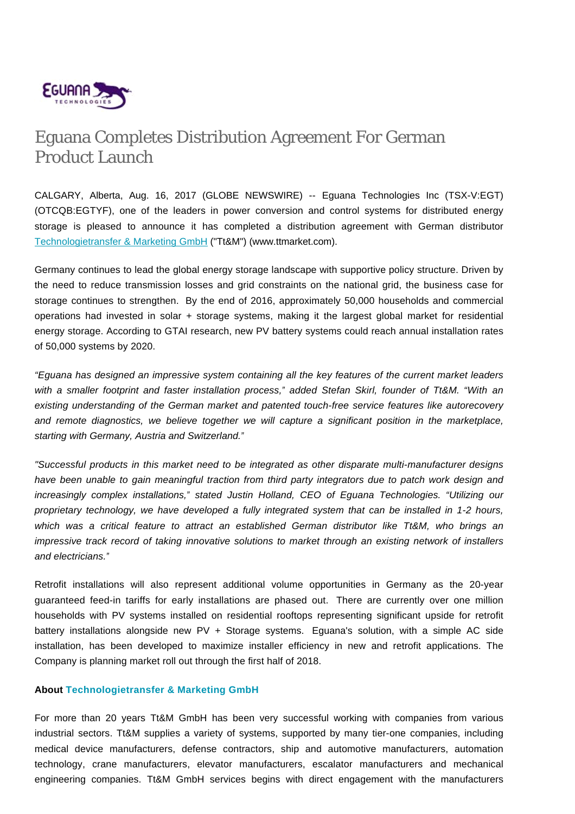

## Eguana Completes Distribution Agreement For German Product Launch

CALGARY, Alberta, Aug. 16, 2017 (GLOBE NEWSWIRE) -- Eguana Technologies Inc (TSX-V:EGT) (OTCQB:EGTYF), one of the leaders in power conversion and control systems for distributed energy storage is pleased to announce it has completed a distribution agreement with German distributor Technologietransfer & Marketing GmbH ("Tt&M") (www.ttmarket.com).

Germany continues to lead the global energy storage landscape with supportive policy structure. Driven by the need to reduce transmission losses and grid constraints on the national grid, the business case for storage continues to strengthen. By the end of 2016, approximately 50,000 households and commercial operations had invested in solar + storage systems, making it the largest global market for residential energy storage. According to GTAI research, new PV battery systems could reach annual installation rates of 50,000 systems by 2020.

"Eguana has designed an impressive system containing all the key features of the current market leaders with a smaller footprint and faster installation process," added Stefan Skirl, founder of Tt&M. "With an existing understanding of the German market and patented touch-free service features like autorecovery and remote diagnostics, we believe together we will capture a significant position in the marketplace, starting with Germany, Austria and Switzerland."

"Successful products in this market need to be integrated as other disparate multi-manufacturer designs have been unable to gain meaningful traction from third party integrators due to patch work design and increasingly complex installations," stated Justin Holland, CEO of Eguana Technologies. "Utilizing our proprietary technology, we have developed a fully integrated system that can be installed in 1-2 hours, which was a critical feature to attract an established German distributor like Tt&M, who brings an impressive track record of taking innovative solutions to market through an existing network of installers and electricians."

Retrofit installations will also represent additional volume opportunities in Germany as the 20-year guaranteed feed-in tariffs for early installations are phased out. There are currently over one million households with PV systems installed on residential rooftops representing significant upside for retrofit battery installations alongside new PV + Storage systems. Eguana's solution, with a simple AC side installation, has been developed to maximize installer efficiency in new and retrofit applications. The Company is planning market roll out through the first half of 2018.

## **About Technologietransfer & Marketing GmbH**

For more than 20 years Tt&M GmbH has been very successful working with companies from various industrial sectors. Tt&M supplies a variety of systems, supported by many tier-one companies, including medical device manufacturers, defense contractors, ship and automotive manufacturers, automation technology, crane manufacturers, elevator manufacturers, escalator manufacturers and mechanical engineering companies. Tt&M GmbH services begins with direct engagement with the manufacturers